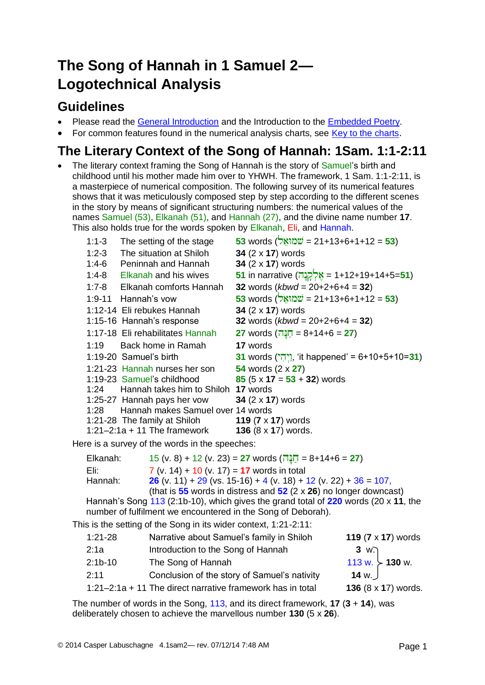# **The Song of Hannah in 1 Samuel 2— Logotechnical Analysis**

## **Guidelines**

- Please read the [General Introduction](http://www.labuschagne.nl/aspects.pdf) and the Introduction to the [Embedded Poetry.](http://www.labuschagne.nl/intro.embed.pdf)
- For common features found in the numerical analysis charts, see [Key to the charts](http://www.labuschagne.nl/keytocharts.pdf).

# **The Literary Context of the Song of Hannah: 1Sam. 1:1-2:11**

 The literary context framing the Song of Hannah is the story of Samuel's birth and childhood until his mother made him over to YHWH. The framework, 1 Sam. 1:1-2:11, is a masterpiece of numerical composition. The following survey of its numerical features shows that it was meticulously composed step by step according to the different scenes in the story by means of significant structuring numbers: the numerical values of the names Samuel (53), Elkanah (51), and Hannah (27), and the divine name number **17**. This also holds true for the words spoken by Elkanah, Eli, and Hannah.

| $1:1-3$ | The setting of the stage                 | 53 words ( <del>שְׁמוֹאֶל = 21+13+6+1+12 = 53</del> ) |
|---------|------------------------------------------|-------------------------------------------------------|
| $1:2-3$ | The situation at Shiloh                  | 34 (2 x 17) words                                     |
| 1:4-6   | Peninnah and Hannah                      | 34 (2 x 17) words                                     |
| $1:4-8$ | Elkanah and his wives                    | 51 in narrative (אֶלְקֶנֶה = 1+12+19+14+5=51)         |
| $1:7-8$ | Elkanah comforts Hannah                  | 32 words $(kbwd = 20+2+6+4 = 32)$                     |
|         | 1:9-11 Hannah's vow                      | $53$ words (שמואַל = 21+13+6+1+12 = 53)               |
|         | 1:12-14 Eli rebukes Hannah               | 34 $(2 \times 17)$ words                              |
|         | 1:15-16 Hannah's response                | 32 words $(kbwd = 20+2+6+4 = 32)$                     |
|         | 1:17-18 Eli rehabilitates Hannah         | 27 words ( $\underline{\pi} = 8+14+6 = 27$ )          |
|         | 1:19 Back home in Ramah                  | <b>17</b> words                                       |
|         | 1:19-20 Samuel's birth                   | 31 words (יְיִהְי), 'it happened' = 6+10+5+10=31)     |
|         | 1:21-23 Hannah nurses her son            | 54 words (2 x 27)                                     |
|         | 1:19-23 Samuel's childhood               | 85 $(5 \times 17 = 53 + 32)$ words                    |
|         | 1:24 Hannah takes him to Shiloh 17 words |                                                       |
|         | 1:25-27 Hannah pays her vow              | 34 (2 x 17) words                                     |
|         | 1:28 Hannah makes Samuel over 14 words   |                                                       |
|         | 1:21-28 The family at Shiloh             | 119 $(7 \times 17)$ words                             |
|         | $1:21-2:1a + 11$ The framework           | 136 $(8 \times 17)$ words.                            |
|         |                                          |                                                       |

Here is a survey of the words in the speeches:

| Elkanah: |                                                                                     | $15$ (v. 8) + 12 (v. 23) = 27 words (הַנֵּה = 8+14+6 = 27)              |  |  |
|----------|-------------------------------------------------------------------------------------|-------------------------------------------------------------------------|--|--|
| Eli:     |                                                                                     | $7 (v. 14) + 10 (v. 17) = 17$ words in total                            |  |  |
| Hannah:  |                                                                                     | <b>26</b> (v. 11) + 29 (vs. 15-16) + 4 (v. 18) + 12 (v. 22) + 36 = 107, |  |  |
|          |                                                                                     | (that is $55$ words in distress and $52$ (2 x 26) no longer downcast)   |  |  |
|          | Hannah's Song 113 (2:1b-10), which gives the grand total of 220 words (20 x 11, the |                                                                         |  |  |
|          | number of fulfilment we encountered in the Song of Deborah).                        |                                                                         |  |  |
|          | This is the setting of the Song in its wider context, $1:21-2:11$ :                 |                                                                         |  |  |
|          |                                                                                     |                                                                         |  |  |

| $1:21-28$ | Narrative about Samuel's family in Shiloh                    | 119 $(7 \times 17)$ words |
|-----------|--------------------------------------------------------------|---------------------------|
| 2:1a      | Introduction to the Song of Hannah                           | 3 w.                      |
| $2:1b-10$ | The Song of Hannah                                           | 113 w. $>$ 130 w.         |
| 2:11      | Conclusion of the story of Samuel's nativity                 | 14 w. $\vert$             |
|           | 1:21–2:1a $+$ 11 The direct narrative framework has in total | 136 (8 x 17) words.       |

The number of words in the Song, 113, and its direct framework, **17** (**3** + **14**), was deliberately chosen to achieve the marvellous number **130** (5 x **26**).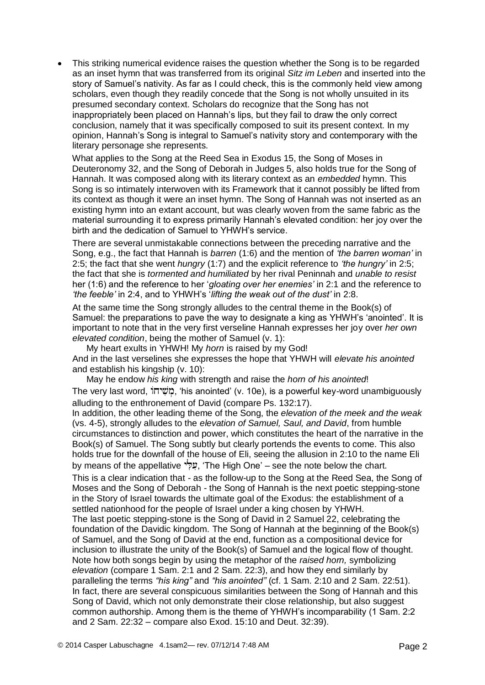This striking numerical evidence raises the question whether the Song is to be regarded as an inset hymn that was transferred from its original *Sitz im Leben* and inserted into the story of Samuel's nativity. As far as I could check, this is the commonly held view among scholars, even though they readily concede that the Song is not wholly unsuited in its presumed secondary context. Scholars do recognize that the Song has not inappropriately been placed on Hannah's lips, but they fail to draw the only correct conclusion, namely that it was specifically composed to suit its present context. In my opinion, Hannah's Song is integral to Samuel's nativity story and contemporary with the literary personage she represents.

What applies to the Song at the Reed Sea in Exodus 15, the Song of Moses in Deuteronomy 32, and the Song of Deborah in Judges 5, also holds true for the Song of Hannah. It was composed along with its literary context as an *embedded* hymn. This Song is so intimately interwoven with its Framework that it cannot possibly be lifted from its context as though it were an inset hymn. The Song of Hannah was not inserted as an existing hymn into an extant account, but was clearly woven from the same fabric as the material surrounding it to express primarily Hannah's elevated condition: her joy over the birth and the dedication of Samuel to YHWH's service.

There are several unmistakable connections between the preceding narrative and the Song, e.g., the fact that Hannah is *barren* (1:6) and the mention of *'the barren woman'* in 2:5; the fact that she went *hungry* (1:7) and the explicit reference to *'the hungry'* in 2:5; the fact that she is *tormented and humiliated* by her rival Peninnah and *unable to resist* her (1:6) and the reference to her '*gloating over her enemies'* in 2:1 and the reference to *'the feeble'* in 2:4, and to YHWH's '*lifting the weak out of the dust'* in 2:8.

At the same time the Song strongly alludes to the central theme in the Book(s) of Samuel: the preparations to pave the way to designate a king as YHWH's 'anointed'. It is important to note that in the very first verseline Hannah expresses her joy over *her own elevated condition*, being the mother of Samuel (v. 1):

My heart exults in YHWH! My *horn* is raised by my God!

And in the last verselines she expresses the hope that YHWH will *elevate his anointed* and establish his kingship (v. 10):

May he endow *his king* with strength and raise the *horn of his anointed*! The very last word, "משיחוֹ, 'his anointed' (v. 10e), is a powerful key-word unambiguously alluding to the enthronement of David (compare Ps. 132:17).

In addition, the other leading theme of the Song, the *elevation of the meek and the weak* (vs. 4-5), strongly alludes to the *elevation of Samuel, Saul, and David*, from humble circumstances to distinction and power, which constitutes the heart of the narrative in the Book(s) of Samuel. The Song subtly but clearly portends the events to come. This also holds true for the downfall of the house of Eli, seeing the allusion in 2:10 to the name Eli by means of the appellative "פְלִי, 'The High One' – see the note below the chart. This is a clear indication that - as the follow-up to the Song at the Reed Sea, the Song of Moses and the Song of Deborah - the Song of Hannah is the next poetic stepping-stone in the Story of Israel towards the ultimate goal of the Exodus: the establishment of a

settled nationhood for the people of Israel under a king chosen by YHWH. The last poetic stepping-stone is the Song of David in 2 Samuel 22, celebrating the foundation of the Davidic kingdom. The Song of Hannah at the beginning of the Book(s) of Samuel, and the Song of David at the end, function as a compositional device for inclusion to illustrate the unity of the Book(s) of Samuel and the logical flow of thought. Note how both songs begin by using the metaphor of the *raised horn,* symbolizing *elevation* (compare 1 Sam. 2:1 and 2 Sam. 22:3), and how they end similarly by paralleling the terms *"his king"* and *"his anointed"* (cf. 1 Sam. 2:10 and 2 Sam. 22:51). In fact, there are several conspicuous similarities between the Song of Hannah and this Song of David, which not only demonstrate their close relationship, but also suggest common authorship. Among them is the theme of YHWH's incomparability (1 Sam. 2:2 and 2 Sam. 22:32 – compare also Exod. 15:10 and Deut. 32:39).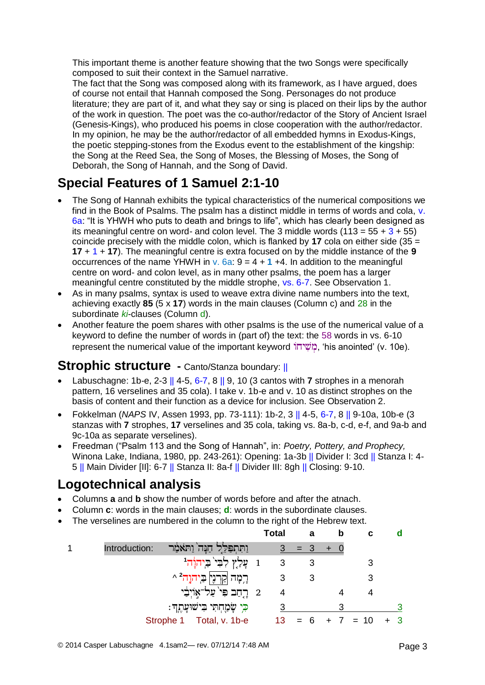This important theme is another feature showing that the two Songs were specifically composed to suit their context in the Samuel narrative.

The fact that the Song was composed along with its framework, as I have argued, does of course not entail that Hannah composed the Song. Personages do not produce literature; they are part of it, and what they say or sing is placed on their lips by the author of the work in question. The poet was the co-author/redactor of the Story of Ancient Israel (Genesis-Kings), who produced his poems in close cooperation with the author/redactor. In my opinion, he may be the author/redactor of all embedded hymns in Exodus-Kings, the poetic stepping-stones from the Exodus event to the establishment of the kingship: the Song at the Reed Sea, the Song of Moses, the Blessing of Moses, the Song of Deborah, the Song of Hannah, and the Song of David.

# **Special Features of 1 Samuel 2:1-10**

- The Song of Hannah exhibits the typical characteristics of the numerical compositions we find in the Book of Psalms. The psalm has a distinct middle in terms of words and cola, v. 6a: "It is YHWH who puts to death and brings to life", which has clearly been designed as its meaningful centre on word- and colon level. The 3 middle words  $(113 = 55 + 3 + 55)$ coincide precisely with the middle colon, which is flanked by **17** cola on either side (35 = **17** + 1 + **17**). The meaningful centre is extra focused on by the middle instance of the **9**  occurrences of the name YHWH in v.  $6a: 9 = 4 + 1 + 4$ . In addition to the meaningful centre on word- and colon level, as in many other psalms, the poem has a larger meaningful centre constituted by the middle strophe, vs. 6-7. See Observation 1.
- As in many psalms, syntax is used to weave extra divine name numbers into the text, achieving exactly **85** (5 x **17**) words in the main clauses (Column c) and 28 in the subordinate *ki*-clauses (Column d).
- Another feature the poem shares with other psalms is the use of the numerical value of a keyword to define the number of words in (part of) the text: the 58 words in vs. 6-10 represent the numerical value of the important keyword  $\overline{u}$ : "משיחו"), 'his anointed' (v. 10e).

#### **Strophic structure -** Canto/Stanza boundary: ||

- Labuschagne: 1b-e, 2-3 || 4-5, 6-7, 8 || 9, 10 (3 cantos with **7** strophes in a menorah pattern, 16 verselines and 35 cola). I take v. 1b-e and v. 10 as distinct strophes on the basis of content and their function as a device for inclusion. See Observation 2.
- Fokkelman (*NAPS* IV, Assen 1993, pp. 73-111): 1b-2, 3 || 4-5, 6-7, 8 || 9-10a, 10b-e (3 stanzas with **7** strophes, **17** verselines and 35 cola, taking vs. 8a-b, c-d, e-f, and 9a-b and 9c-10a as separate verselines).
- Freedman ("Psalm 113 and the Song of Hannah", in: *Poetry, Pottery, and Prophecy,* Winona Lake, Indiana, 1980, pp. 243-261): Opening: 1a-3b || Divider I: 3cd || Stanza I: 4- 5 || Main Divider [II]: 6-7 || Stanza II: 8a-f || Divider III: 8gh || Closing: 9-10.

## **Logotechnical analysis**

- Columns **a** and **b** show the number of words before and after the atnach.
- Column **c**: words in the main clauses; **d**: words in the subordinate clauses.
- The verselines are numbered in the column to the right of the Hebrew text.

|               |                                                                   | <b>Total</b>            |         | а | b | с      |  |
|---------------|-------------------------------------------------------------------|-------------------------|---------|---|---|--------|--|
| Introduction: | ּוֹתִתְפַּלֵל חַנָּה וַחֹּאֹמַר                                   |                         | $3 = 3$ |   |   |        |  |
|               | 1 עֲלַץְ לְבִי <sup>י</sup> בַיְהוָ <sup>ׂ</sup> ְה <sup>וּ</sup> | $\overline{\mathbf{3}}$ |         |   |   |        |  |
|               | ּרֶמָה  קַרְנֶי  בַּיִהוֶה <sup>2</sup> ^                         |                         |         | 3 |   |        |  |
|               | 2 רֶחֲב פִּי עַל־אָוֹיִבָּי                                       | 4                       |         |   |   |        |  |
|               | כִּי שָׂמַחִתִּי בִישׁוּעָתֵךְ:                                   |                         |         |   |   |        |  |
|               | Strophe 1 Total, v. 1b-e                                          | 13                      | $= 6$   |   |   | $= 10$ |  |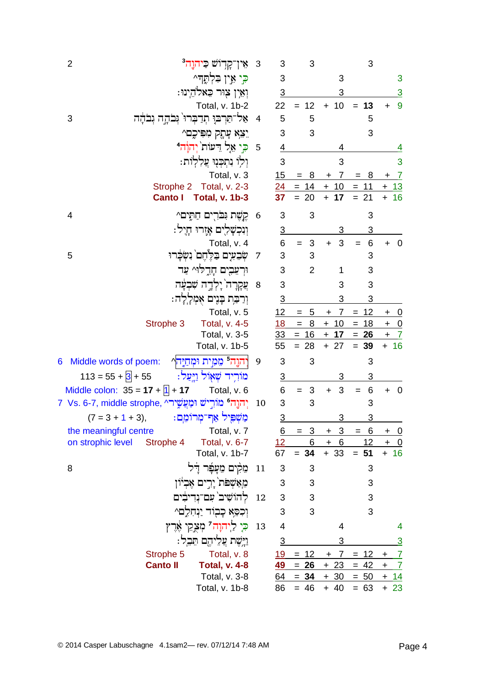|   | $\overline{2}$                                                    | אין־קְדִוֹשׁ כֵּיהוֶה <sup>3</sup>                  | $\overline{\mathbf{3}}$ | 3                       | 3                   |                       | 3               |                                       |
|---|-------------------------------------------------------------------|-----------------------------------------------------|-------------------------|-------------------------|---------------------|-----------------------|-----------------|---------------------------------------|
|   |                                                                   | ⊊י אֵין בִּלְתֶּדִּ^                                |                         | 3                       |                     | 3                     |                 | 3                                     |
|   |                                                                   | וְאֵין צִוּר כֵאלהֵינוּ:                            |                         | $\overline{3}$          |                     | 3                     |                 | $\overline{3}$                        |
|   |                                                                   | Total, v. 1b-2                                      |                         | 22                      | $= 12$              | $+ 10$                | 13<br>$=$       | 9<br>$\ddot{}$                        |
|   | אל־תַּרְבּוַ תְדַבְרוּ גְּבֹהָה גְבֹהָה<br>3                      |                                                     | $\overline{4}$          | 5                       | 5                   |                       | 5               |                                       |
|   |                                                                   | יִצְאָ עָהָק מִפִּיכֶם^                             |                         | 3                       | 3                   |                       | 3               |                                       |
|   |                                                                   | ּכֵי אֵל דֵעוֹת <sup>י</sup> יְהוַ <sup>ׂ</sup> הִי | 5                       | 4                       |                     | 4                     |                 | 4                                     |
|   |                                                                   | וִלְוֹ נִתְכְנִוּ עֲלְלְוֹת:                        |                         | 3                       |                     | 3                     |                 | 3                                     |
|   |                                                                   | Total, v. 3                                         |                         | 15                      | $= 8$               | $+ 7$                 | $= 8$           | $\overline{7}$<br>$\ddot{}$           |
|   | Strophe 2                                                         | Total, v. 2-3                                       |                         |                         | $24 = 14 + 10 = 11$ |                       |                 | <u>+ 13</u>                           |
|   | <b>Canto I</b>                                                    | <b>Total, v. 1b-3</b>                               |                         | 37                      | 20                  | 17<br>$+$             | $= 21$          | 16<br>$+$                             |
|   | 4                                                                 | קֶשֶׁת וָּבֹרִים חַתֶּים^                           | 6                       | 3                       | 3                   |                       | 3               |                                       |
|   |                                                                   | וִנְכִשָּׁלִיִם אָזֶרוּ חָיֵל:                      |                         | $\overline{3}$          |                     |                       | 3               |                                       |
|   |                                                                   | Total, v. 4                                         |                         | 6                       | 3<br>$=$            | 3<br>$+$              | 6<br>$=$        | $\overline{0}$                        |
|   | 5                                                                 | שִׂבְעִים בַּלֵחֶם נִשְּׂבָרוּ                      | 7                       | 3                       | 3                   |                       | 3               |                                       |
|   |                                                                   | וּרְעֵבִים חָרֶלוּ^ עַד                             |                         | 3                       | $\overline{2}$      | 1                     | 3               |                                       |
|   |                                                                   | ְעֲקָרָה`יַלְדֶה שִׁבְעַּׁה                         | 8                       | 3                       |                     | 3                     | 3               |                                       |
|   |                                                                   | וְרַבַּת בָּנֶים אָמְלֶלֶה:                         |                         | $\overline{3}$          |                     | 3                     | 3               |                                       |
|   |                                                                   | Total, v. 5                                         |                         | 12                      | 5                   | 7<br>+                | 12<br>$=$       | <u>__0</u><br>$\ddot{}$               |
|   | Strophe 3                                                         | Total, v. 4-5                                       |                         | 18                      | $=$ $\,$<br>8       | $+10$                 | $= 18$          | $+ 0$                                 |
|   |                                                                   | Total, v. 3-5                                       |                         | 33                      | $= 16 + 17 = 26$    |                       |                 | $+ 7$                                 |
|   |                                                                   | Total, v. 1b-5                                      |                         | 55                      | $= 28$              | $+ 27$                | $= 39$          | $+ 16$                                |
| 6 | Middle words of poem:                                             | יִהוֶה מֵמִית וּמְחַיֶּהֵי                          | 9                       | 3                       | 3                   |                       | 3               |                                       |
|   | $113 = 55 + 3 + 55$                                               | מוֹרִיד שְׁאָוֹל וַיְעַל:                           |                         | $\overline{3}$          |                     | 3                     | 3               |                                       |
|   | Middle colon: $35 = 17 + 1 + 17$                                  | Total, v. 6                                         |                         | 6                       | 3                   | 3<br>$\ddot{}$        | 6               | $\overline{0}$<br>$\ddot{}$           |
|   | יִהוֵה <b>' מוֹרִישׁ וּמַעֲשֵׁיר'.</b> Vs. 6-7, middle strophe, ד |                                                     | 10                      | 3                       | 3                   |                       | 3               |                                       |
|   | $(7 = 3 + 1 + 3),$                                                | מַשִׁפִּיל אַר־מְרוֹמֵם:                            |                         | 3                       |                     | 3                     | 3               |                                       |
|   | the meaningful centre                                             | Total, v. 7                                         |                         | <u>6</u>                | 3                   | 3<br>$\pm$            | <u>6</u><br>$=$ | +<br><u>_0</u>                        |
|   | on strophic level<br>Strophe 4                                    | Total, v. 6-7<br>Total, v. 1b-7                     |                         | 12 <sup>7</sup><br>67   | 6<br>$= 34$         | $+ 6$<br>$+33$        | 12<br>$= 51$    | $\ddot{}$<br>$\overline{0}$<br>$+ 16$ |
|   |                                                                   |                                                     |                         |                         |                     |                       |                 |                                       |
|   | 8                                                                 | תֵקִים מֵעָּפָר דָל                                 | 11                      | $\sqrt{3}$              | 3                   |                       | 3               |                                       |
|   |                                                                   | מֵאַשִׁפֹּת יָרִים אֵבִיוֹן                         |                         | 3                       | 3                   |                       | 3               |                                       |
|   |                                                                   | להוֹשִׁיב` עִם־נִדִיבִים                            | 12                      | 3                       | 3                   |                       | 3               |                                       |
|   |                                                                   | וִכְסֵא כָבְוֹד יַנְחָלֵם^                          |                         | 3                       | 3                   |                       | 3               |                                       |
|   |                                                                   | כִּיָ לַיהוָה <sup>ְי</sup> מְצָקֵי אֶרֶץ           | 13                      | $\overline{\mathbf{4}}$ |                     | 4                     |                 | 4                                     |
|   |                                                                   | וַיָּשֵׁת עֲלֵיהֶם תֵּבֵל:                          |                         | $\overline{3}$          |                     | 3                     |                 | <u>3</u>                              |
|   | Strophe 5                                                         | Total, v. 8                                         |                         | <u>19</u>               | $= 12$              | $\overline{7}$<br>$+$ | 12<br>$=$       | $\overline{1}$<br>$+$                 |
|   | <b>Canto II</b>                                                   | <b>Total, v. 4-8</b>                                |                         | <u>49</u>               | $= 26$              | $+23$                 | $= 42$          | $\overline{I}$<br>$\ddot{}$           |
|   |                                                                   | Total, v. 3-8                                       |                         | 64                      | $= 34$              | $+30$                 | $= 50$          | $+ 14$                                |
|   |                                                                   | Total, v. 1b-8                                      |                         | 86                      | $= 46$              | $+ 40$                | $= 63$          | $+23$                                 |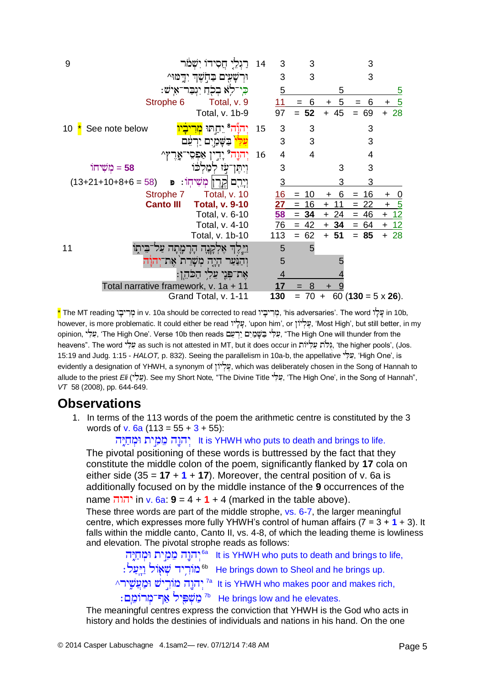

\* The MT reading in v. 10a should be corrected to read , 'his adversaries'. The word in 10b, however, is more problematic. It could either be read , 'upon him', or , 'Most High', but still better, in my opinion, עלי, The High One'. Verse 10b then reads עלי בַשׁמַים יַרעם, "The High One will thunder from the heavens". The word עֵלִי as such is not attested in MT, but it does occur in גִלֹּת עִלְיוֹת (the higher pools', (Jos. 15:19 and Judg. 1:15 - *HALOT*, p. 832). Seeing the parallelism in 10a-b, the appellative "עלי", 'High One', is evidently a designation of YHWH, a synonym of  $y^2$ , which was deliberately chosen in the Song of Hannah to allude to the priest *Eli* ( ). See my Short Note*,* "The Divine Title , 'The High One', in the Song of Hannah", *VT* 58 (2008), pp. 644-649.

#### **Observations**

1. In terms of the 113 words of the poem the arithmetic centre is constituted by the 3 words of v. 6a  $(113 = 55 + 3 + 55)$ :

It is YHWH who puts to death and brings to life.

The pivotal positioning of these words is buttressed by the fact that they constitute the middle colon of the poem, significantly flanked by **17** cola on either side (35 =  $17 + 1 + 17$ ). Moreover, the central position of v. 6a is additionally focused on by the middle instance of the **9** occurrences of the

name in v. 6a: **9** = 4 + **1** + 4 (marked in the table above).

These three words are part of the middle strophe, vs. 6-7, the larger meaningful centre, which expresses more fully YHWH's control of human affairs (7 = 3 + **1** + 3). It falls within the middle canto, Canto II, vs. 4-8, of which the leading theme is lowliness and elevation. The pivotal strophe reads as follows:

יִהוֶה מֵמִית וּמְחַיֶּה, <sup>6a</sup> It is YHWH who puts to death and brings to life, : מׂוֹרְיד שְׁאָוֹל וַיְעֵל $^{\text{6b}}$  He brings down to Sheol and he brings up.  $^\wedge$ יִהוֶה מוֹרִישׁ וּמַעֲשֵׁיר $^{7a}$  It is YHWH who makes poor and makes rich, ז מַשְׁפִּיל אַף־מְרוֹמֵם Tb He brings low and he elevates.

The meaningful centres express the conviction that YHWH is the God who acts in history and holds the destinies of individuals and nations in his hand. On the one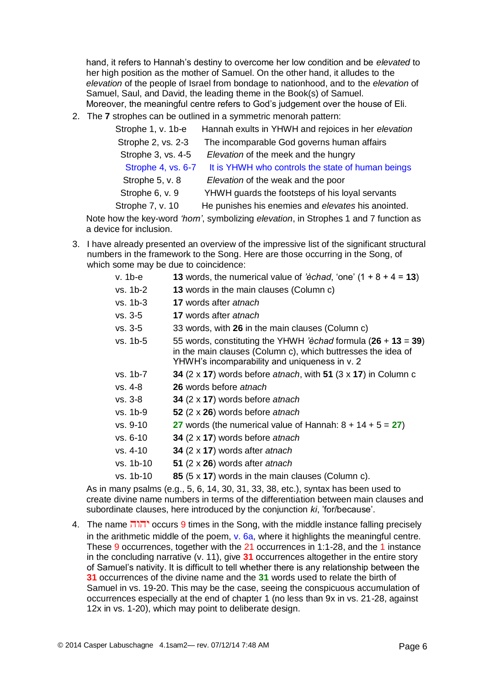hand, it refers to Hannah's destiny to overcome her low condition and be *elevated* to her high position as the mother of Samuel. On the other hand, it alludes to the *elevation* of the people of Israel from bondage to nationhood, and to the *elevation* of Samuel, Saul, and David, the leading theme in the Book(s) of Samuel. Moreover, the meaningful centre refers to God's judgement over the house of Eli.

2. The **7** strophes can be outlined in a symmetric menorah pattern:

| Strophe 1, v. 1b-e | Hannah exults in YHWH and rejoices in her elevation |
|--------------------|-----------------------------------------------------|
| Strophe 2, vs. 2-3 | The incomparable God governs human affairs          |
| Strophe 3, vs. 4-5 | Elevation of the meek and the hungry                |
| Strophe 4, vs. 6-7 | It is YHWH who controls the state of human beings   |
| Strophe 5, v. 8    | Elevation of the weak and the poor                  |
| Strophe 6, v. 9    | YHWH guards the footsteps of his loyal servants     |
| Strophe 7, v. 10   | He punishes his enemies and elevates his anointed.  |

Note how the key-word *'horn'*, symbolizing *elevation*, in Strophes 1 and 7 function as a device for inclusion.

3. I have already presented an overview of the impressive list of the significant structural numbers in the framework to the Song. Here are those occurring in the Song, of which some may be due to coincidence:

| 13 words, the numerical value of 'èchad, 'one' $(1 + 8 + 4 = 13)$                                                                                                                |
|----------------------------------------------------------------------------------------------------------------------------------------------------------------------------------|
| 13 words in the main clauses (Column c)                                                                                                                                          |
| <b>17</b> words after atnach                                                                                                                                                     |
| <b>17</b> words after atnach                                                                                                                                                     |
| 33 words, with 26 in the main clauses (Column c)                                                                                                                                 |
| 55 words, constituting the YHWH 'èchad formula $(26 + 13 = 39)$<br>in the main clauses (Column c), which buttresses the idea of<br>YHWH's incomparability and uniqueness in v. 2 |
| 34 $(2 \times 17)$ words before <i>atnach</i> , with 51 $(3 \times 17)$ in Column c                                                                                              |
| <b>26</b> words before atnach                                                                                                                                                    |
| 34 (2 x 17) words before atnach                                                                                                                                                  |
| 52 $(2 \times 26)$ words before atnach                                                                                                                                           |
| 27 words (the numerical value of Hannah: $8 + 14 + 5 = 27$ )                                                                                                                     |
| 34 $(2 \times 17)$ words before atnach                                                                                                                                           |
| 34 $(2 \times 17)$ words after atnach                                                                                                                                            |
| 51 $(2 \times 26)$ words after atnach                                                                                                                                            |
| 85 (5 x 17) words in the main clauses (Column c).                                                                                                                                |
|                                                                                                                                                                                  |

As in many psalms (e.g., 5, 6, 14, 30, 31, 33, 38, etc.), syntax has been used to create divine name numbers in terms of the differentiation between main clauses and subordinate clauses, here introduced by the conjunction *ki*, 'for/because'.

4. The name יהוה occurs 9 times in the Song, with the middle instance falling precisely in the arithmetic middle of the poem, v. 6a, where it highlights the meaningful centre. These 9 occurrences, together with the 21 occurrences in 1:1-28, and the 1 instance in the concluding narrative (v. 11), give **31** occurrences altogether in the entire story of Samuel's nativity. It is difficult to tell whether there is any relationship between the **31** occurrences of the divine name and the **31** words used to relate the birth of Samuel in vs. 19-20. This may be the case, seeing the conspicuous accumulation of occurrences especially at the end of chapter 1 (no less than 9x in vs. 21-28, against 12x in vs. 1-20), which may point to deliberate design.